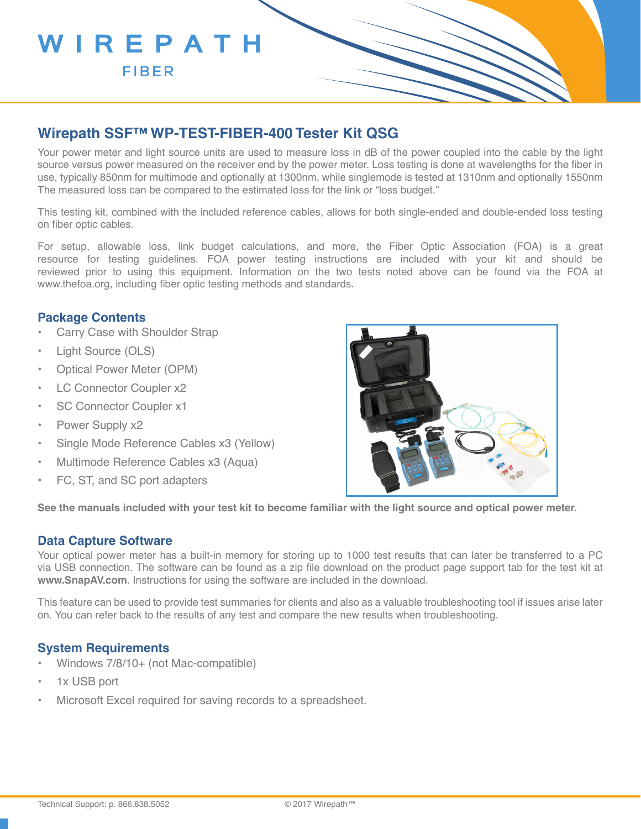

## **Wirepath SSF™ WP-TEST-FIBER-400 Tester Kit QSG**

Your power meter and light source units are used to measure loss in dB of the power coupled into the cable by the light source versus power measured on the receiver end by the power meter. Loss testing is done at wavelengths for the fiber in use, typically 850nm for multimode and optionally at 1300nm, while singlemode is tested at 1310nm and optionally 1550nm The measured loss can be compared to the estimated loss for the link or "loss budget."

This testing kit, combined with the included reference cables, allows for both single-ended and double-ended loss testing on fiber optic cables.

For setup, allowable loss, link budget calculations, and more, the Fiber Optic Association (FOA) is a great resource for testing guidelines. FOA power testing instructions are included with your kit and should be reviewed prior to using this equipment. Information on the two tests noted above can be found via the FOA at www.thefoa.org, including fiber optic testing methods and standards.

### **Package Contents**

- Carry Case with Shoulder Strap
- Light Source (OLS)
- Optical Power Meter (OPM)
- LC Connector Coupler x2
- SC Connector Coupler x1
- Power Supply x2
- Single Mode Reference Cables x3 (Yellow)
- Multimode Reference Cables x3 (Aqua)
- FC, ST, and SC port adapters



**See the manuals included with your test kit to become familiar with the light source and optical power meter.**

#### **Data Capture Software**

Your optical power meter has a built-in memory for storing up to 1000 test results that can later be transferred to a PC via USB connection. The software can be found as a zip file download on the product page support tab for the test kit at **www.SnapAV.com**. Instructions for using the software are included in the download.

This feature can be used to provide test summaries for clients and also as a valuable troubleshooting tool if issues arise later on. You can refer back to the results of any test and compare the new results when troubleshooting.

#### **System Requirements**

- Windows 7/8/10+ (not Mac-compatible)
- 1x USB port
- Microsoft Excel required for saving records to a spreadsheet.